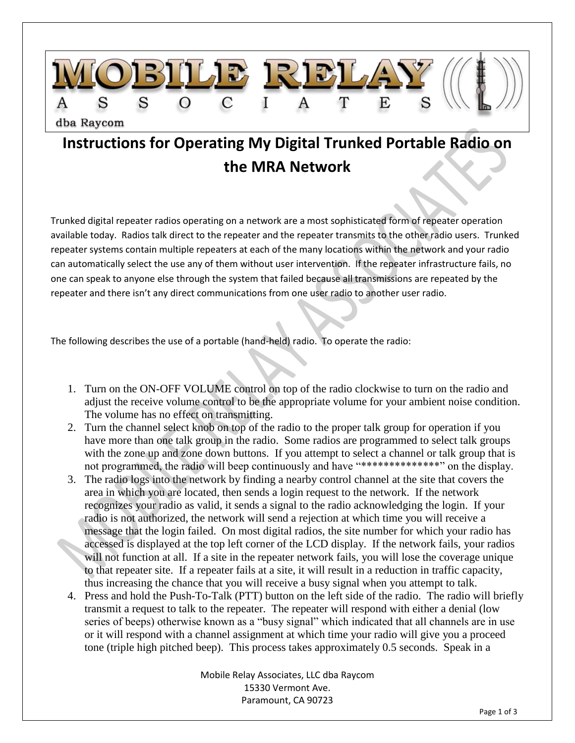

## **Instructions for Operating My Digital Trunked Portable Radio on the MRA Network**

Trunked digital repeater radios operating on a network are a most sophisticated form of repeater operation available today. Radios talk direct to the repeater and the repeater transmits to the other radio users. Trunked repeater systems contain multiple repeaters at each of the many locations within the network and your radio can automatically select the use any of them without user intervention. If the repeater infrastructure fails, no one can speak to anyone else through the system that failed because all transmissions are repeated by the repeater and there isn't any direct communications from one user radio to another user radio.

The following describes the use of a portable (hand-held) radio. To operate the radio:

- 1. Turn on the ON-OFF VOLUME control on top of the radio clockwise to turn on the radio and adjust the receive volume control to be the appropriate volume for your ambient noise condition. The volume has no effect on transmitting.
- 2. Turn the channel select knob on top of the radio to the proper talk group for operation if you have more than one talk group in the radio. Some radios are programmed to select talk groups with the zone up and zone down buttons. If you attempt to select a channel or talk group that is not programmed, the radio will beep continuously and have "\*\*\*\*\*\*\*\*\*\*\*\*\*\*\*" on the display.
- 3. The radio logs into the network by finding a nearby control channel at the site that covers the area in which you are located, then sends a login request to the network. If the network recognizes your radio as valid, it sends a signal to the radio acknowledging the login. If your radio is not authorized, the network will send a rejection at which time you will receive a message that the login failed. On most digital radios, the site number for which your radio has accessed is displayed at the top left corner of the LCD display. If the network fails, your radios will not function at all. If a site in the repeater network fails, you will lose the coverage unique to that repeater site. If a repeater fails at a site, it will result in a reduction in traffic capacity, thus increasing the chance that you will receive a busy signal when you attempt to talk.
- 4. Press and hold the Push-To-Talk (PTT) button on the left side of the radio. The radio will briefly transmit a request to talk to the repeater. The repeater will respond with either a denial (low series of beeps) otherwise known as a "busy signal" which indicated that all channels are in use or it will respond with a channel assignment at which time your radio will give you a proceed tone (triple high pitched beep). This process takes approximately 0.5 seconds. Speak in a

Mobile Relay Associates, LLC dba Raycom 15330 Vermont Ave. Paramount, CA 90723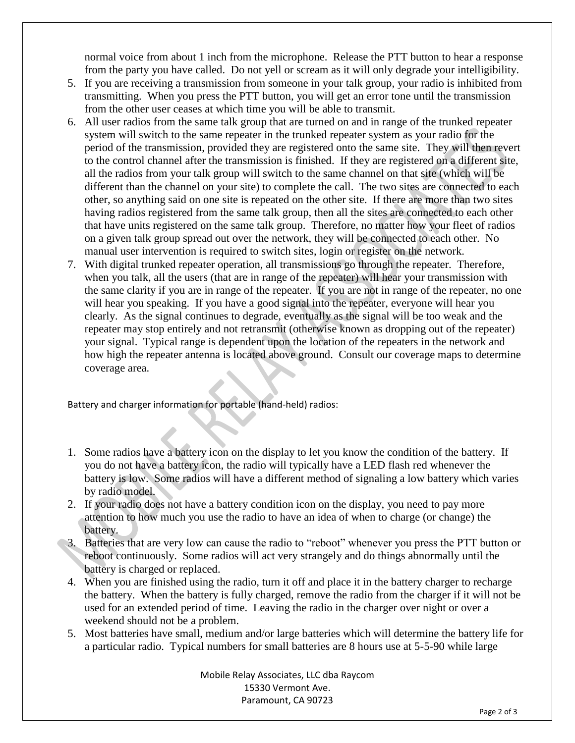normal voice from about 1 inch from the microphone. Release the PTT button to hear a response from the party you have called. Do not yell or scream as it will only degrade your intelligibility.

- 5. If you are receiving a transmission from someone in your talk group, your radio is inhibited from transmitting. When you press the PTT button, you will get an error tone until the transmission from the other user ceases at which time you will be able to transmit.
- 6. All user radios from the same talk group that are turned on and in range of the trunked repeater system will switch to the same repeater in the trunked repeater system as your radio for the period of the transmission, provided they are registered onto the same site. They will then revert to the control channel after the transmission is finished. If they are registered on a different site, all the radios from your talk group will switch to the same channel on that site (which will be different than the channel on your site) to complete the call. The two sites are connected to each other, so anything said on one site is repeated on the other site. If there are more than two sites having radios registered from the same talk group, then all the sites are connected to each other that have units registered on the same talk group. Therefore, no matter how your fleet of radios on a given talk group spread out over the network, they will be connected to each other. No manual user intervention is required to switch sites, login or register on the network.
- 7. With digital trunked repeater operation, all transmissions go through the repeater. Therefore, when you talk, all the users (that are in range of the repeater) will hear your transmission with the same clarity if you are in range of the repeater. If you are not in range of the repeater, no one will hear you speaking. If you have a good signal into the repeater, everyone will hear you clearly. As the signal continues to degrade, eventually as the signal will be too weak and the repeater may stop entirely and not retransmit (otherwise known as dropping out of the repeater) your signal. Typical range is dependent upon the location of the repeaters in the network and how high the repeater antenna is located above ground. Consult our coverage maps to determine coverage area.

Battery and charger information for portable (hand-held) radios:

- 1. Some radios have a battery icon on the display to let you know the condition of the battery. If you do not have a battery icon, the radio will typically have a LED flash red whenever the battery is low. Some radios will have a different method of signaling a low battery which varies by radio model.
- 2. If your radio does not have a battery condition icon on the display, you need to pay more attention to how much you use the radio to have an idea of when to charge (or change) the battery.
- 3. Batteries that are very low can cause the radio to "reboot" whenever you press the PTT button or reboot continuously. Some radios will act very strangely and do things abnormally until the battery is charged or replaced.
- 4. When you are finished using the radio, turn it off and place it in the battery charger to recharge the battery. When the battery is fully charged, remove the radio from the charger if it will not be used for an extended period of time. Leaving the radio in the charger over night or over a weekend should not be a problem.
- 5. Most batteries have small, medium and/or large batteries which will determine the battery life for a particular radio. Typical numbers for small batteries are 8 hours use at 5-5-90 while large

Mobile Relay Associates, LLC dba Raycom 15330 Vermont Ave. Paramount, CA 90723